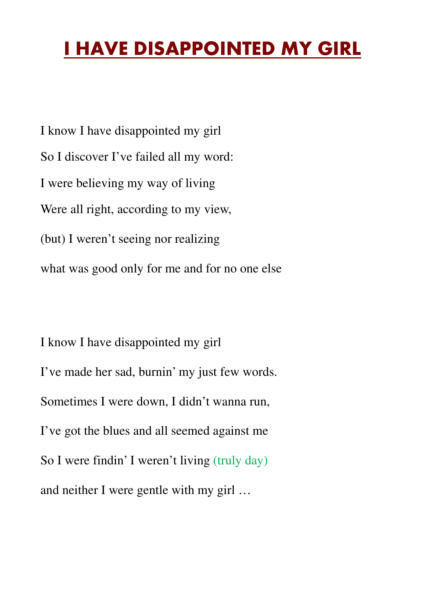## **I HAVE DISAPPOINTED MY GIRL**

I know I have disappointed my girl So I discover I've failed all my word: I were believing my way of living Were all right, according to my view, (but) I weren't seeing nor realizing what was good only for me and for no one else

I know I have disappointed my girl I've made her sad, burnin' my just few words. Sometimes I were down, I didn't wanna run, I've got the blues and all seemed against me So I were findin' I weren't living (truly day) and neither I were gentle with my girl …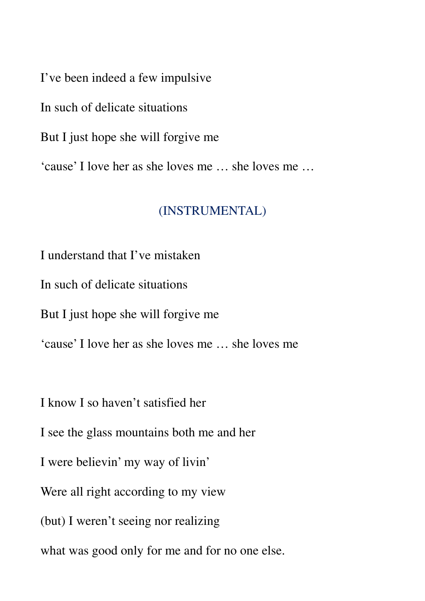I've been indeed a few impulsive

In such of delicate situations

But I just hope she will forgive me

'cause' I love her as she loves me … she loves me …

## (INSTRUMENTAL)

I understand that I've mistaken

In such of delicate situations

But I just hope she will forgive me

'cause' I love her as she loves me … she loves me

I know I so haven't satisfied her

I see the glass mountains both me and her

I were believin' my way of livin'

Were all right according to my view

(but) I weren't seeing nor realizing

what was good only for me and for no one else.